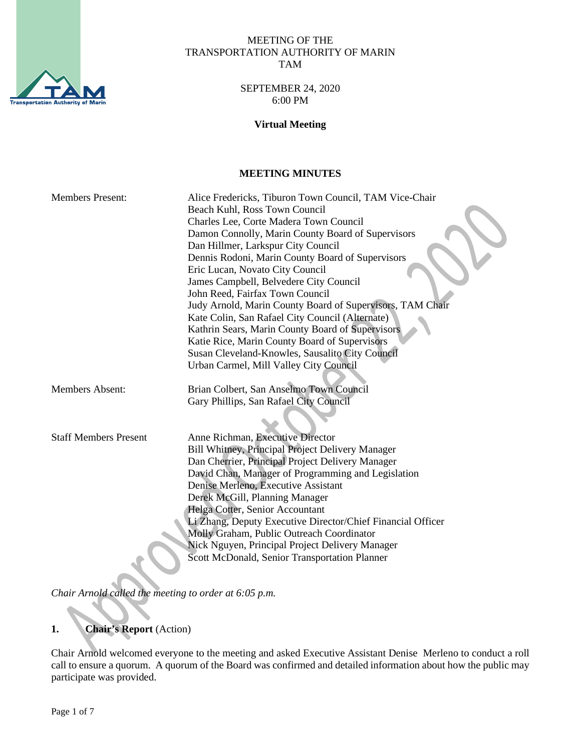

#### MEETING OF THE TRANSPORTATION AUTHORITY OF MARIN TAM

#### SEPTEMBER 24, 2020 6:00 PM

#### **Virtual Meeting**

#### **MEETING MINUTES**

| <b>Members Present:</b>      | Alice Fredericks, Tiburon Town Council, TAM Vice-Chair      |
|------------------------------|-------------------------------------------------------------|
|                              | Beach Kuhl, Ross Town Council                               |
|                              | Charles Lee, Corte Madera Town Council                      |
|                              | Damon Connolly, Marin County Board of Supervisors           |
|                              | Dan Hillmer, Larkspur City Council                          |
|                              | Dennis Rodoni, Marin County Board of Supervisors            |
|                              | Eric Lucan, Novato City Council                             |
|                              | James Campbell, Belvedere City Council                      |
|                              | John Reed, Fairfax Town Council                             |
|                              | Judy Arnold, Marin County Board of Supervisors, TAM Chair   |
|                              | Kate Colin, San Rafael City Council (Alternate)             |
|                              | Kathrin Sears, Marin County Board of Supervisors            |
|                              | Katie Rice, Marin County Board of Supervisors               |
|                              | Susan Cleveland-Knowles, Sausalito City Council             |
|                              | Urban Carmel, Mill Valley City Council                      |
|                              |                                                             |
| <b>Members Absent:</b>       | Brian Colbert, San Anselmo Town Council                     |
|                              | Gary Phillips, San Rafael City Council                      |
|                              |                                                             |
|                              |                                                             |
| <b>Staff Members Present</b> | Anne Richman, Executive Director                            |
|                              | Bill Whitney, Principal Project Delivery Manager            |
|                              | Dan Cherrier, Principal Project Delivery Manager            |
|                              | David Chan, Manager of Programming and Legislation          |
|                              | Denise Merleno, Executive Assistant                         |
|                              | Derek McGill, Planning Manager                              |
|                              | Helga Cotter, Senior Accountant                             |
|                              | Li Zhang, Deputy Executive Director/Chief Financial Officer |
|                              | Molly Graham, Public Outreach Coordinator                   |
|                              | Nick Nguyen, Principal Project Delivery Manager             |
|                              | Scott McDonald, Senior Transportation Planner               |
|                              |                                                             |
|                              |                                                             |

*Chair Arnold called the meeting to order at 6:05 p.m.*

## **1. Chair's Report** (Action)

Chair Arnold welcomed everyone to the meeting and asked Executive Assistant Denise Merleno to conduct a roll call to ensure a quorum. A quorum of the Board was confirmed and detailed information about how the public may participate was provided.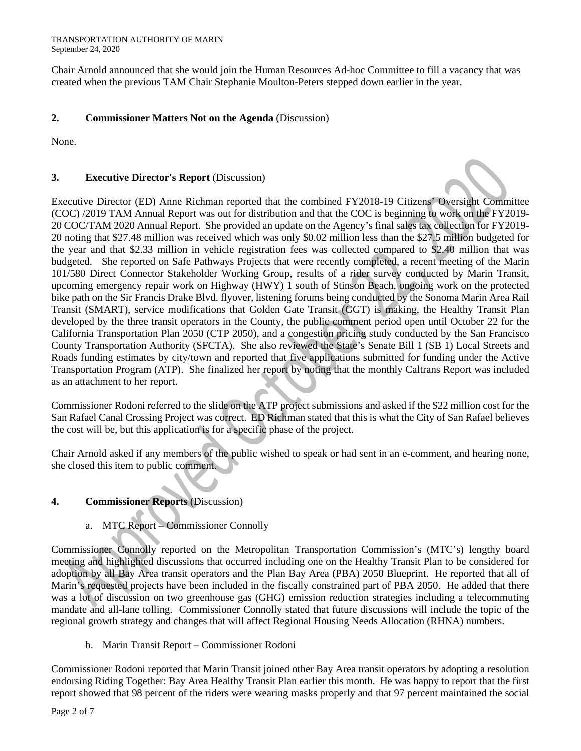Chair Arnold announced that she would join the Human Resources Ad-hoc Committee to fill a vacancy that was created when the previous TAM Chair Stephanie Moulton-Peters stepped down earlier in the year.

## **2. Commissioner Matters Not on the Agenda** (Discussion)

None.

## **3. Executive Director's Report** (Discussion)

Executive Director (ED) Anne Richman reported that the combined FY2018-19 Citizens' Oversight Committee (COC) /2019 TAM Annual Report was out for distribution and that the COC is beginning to work on the FY2019- 20 COC/TAM 2020 Annual Report. She provided an update on the Agency's final sales tax collection for FY2019- 20 noting that \$27.48 million was received which was only \$0.02 million less than the \$27.5 million budgeted for the year and that \$2.33 million in vehicle registration fees was collected compared to \$2.40 million that was budgeted. She reported on Safe Pathways Projects that were recently completed, a recent meeting of the Marin 101/580 Direct Connector Stakeholder Working Group, results of a rider survey conducted by Marin Transit, upcoming emergency repair work on Highway (HWY) 1 south of Stinson Beach, ongoing work on the protected bike path on the Sir Francis Drake Blvd. flyover, listening forums being conducted by the Sonoma Marin Area Rail Transit (SMART), service modifications that Golden Gate Transit (GGT) is making, the Healthy Transit Plan developed by the three transit operators in the County, the public comment period open until October 22 for the California Transportation Plan 2050 (CTP 2050), and a congestion pricing study conducted by the San Francisco County Transportation Authority (SFCTA). She also reviewed the State's Senate Bill 1 (SB 1) Local Streets and Roads funding estimates by city/town and reported that five applications submitted for funding under the Active Transportation Program (ATP). She finalized her report by noting that the monthly Caltrans Report was included as an attachment to her report.

Commissioner Rodoni referred to the slide on the ATP project submissions and asked if the \$22 million cost for the San Rafael Canal Crossing Project was correct. ED Richman stated that this is what the City of San Rafael believes the cost will be, but this application is for a specific phase of the project.

Chair Arnold asked if any members of the public wished to speak or had sent in an e-comment, and hearing none, she closed this item to public comment.

## **4. Commissioner Reports** (Discussion)

a. MTC Report – Commissioner Connolly

Commissioner Connolly reported on the Metropolitan Transportation Commission's (MTC's) lengthy board meeting and highlighted discussions that occurred including one on the Healthy Transit Plan to be considered for adoption by all Bay Area transit operators and the Plan Bay Area (PBA) 2050 Blueprint. He reported that all of Marin's requested projects have been included in the fiscally constrained part of PBA 2050. He added that there was a lot of discussion on two greenhouse gas (GHG) emission reduction strategies including a telecommuting mandate and all-lane tolling. Commissioner Connolly stated that future discussions will include the topic of the regional growth strategy and changes that will affect Regional Housing Needs Allocation (RHNA) numbers.

b. Marin Transit Report – Commissioner Rodoni

Commissioner Rodoni reported that Marin Transit joined other Bay Area transit operators by adopting a resolution endorsing Riding Together: Bay Area Healthy Transit Plan earlier this month. He was happy to report that the first report showed that 98 percent of the riders were wearing masks properly and that 97 percent maintained the social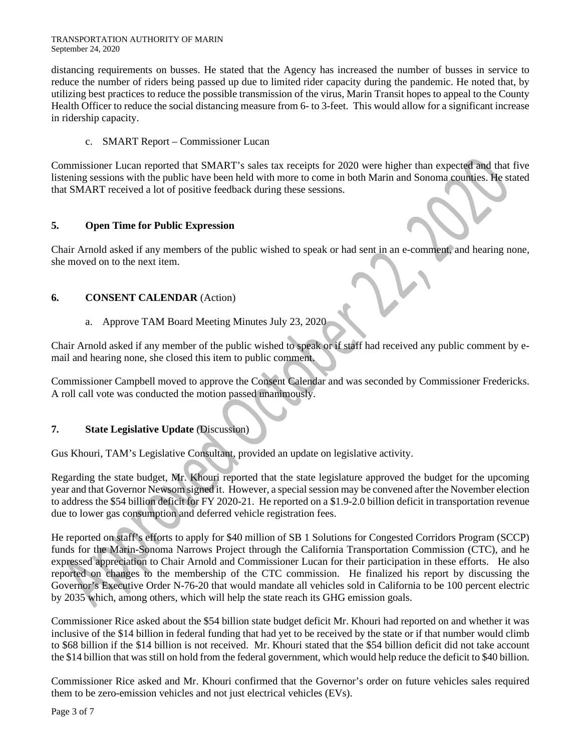distancing requirements on busses. He stated that the Agency has increased the number of busses in service to reduce the number of riders being passed up due to limited rider capacity during the pandemic. He noted that, by utilizing best practices to reduce the possible transmission of the virus, Marin Transit hopes to appeal to the County Health Officer to reduce the social distancing measure from 6- to 3-feet. This would allow for a significant increase in ridership capacity.

## c. SMART Report – Commissioner Lucan

Commissioner Lucan reported that SMART's sales tax receipts for 2020 were higher than expected and that five listening sessions with the public have been held with more to come in both Marin and Sonoma counties. He stated that SMART received a lot of positive feedback during these sessions.

## **5. Open Time for Public Expression**

Chair Arnold asked if any members of the public wished to speak or had sent in an e-comment, and hearing none, she moved on to the next item.

# **6. CONSENT CALENDAR** (Action)

# a. Approve TAM Board Meeting Minutes July 23, 2020

Chair Arnold asked if any member of the public wished to speak or if staff had received any public comment by email and hearing none, she closed this item to public comment.

Commissioner Campbell moved to approve the Consent Calendar and was seconded by Commissioner Fredericks. A roll call vote was conducted the motion passed unanimously.

# **7. State Legislative Update** (Discussion)

Gus Khouri, TAM's Legislative Consultant, provided an update on legislative activity.

Regarding the state budget, Mr. Khouri reported that the state legislature approved the budget for the upcoming year and that Governor Newsom signed it. However, a special session may be convened after the November election to address the \$54 billion deficit for FY 2020-21. He reported on a \$1.9-2.0 billion deficit in transportation revenue due to lower gas consumption and deferred vehicle registration fees.

He reported on staff's efforts to apply for \$40 million of SB 1 Solutions for Congested Corridors Program (SCCP) funds for the Marin-Sonoma Narrows Project through the California Transportation Commission (CTC), and he expressed appreciation to Chair Arnold and Commissioner Lucan for their participation in these efforts. He also reported on changes to the membership of the CTC commission. He finalized his report by discussing the Governor's Executive Order N-76-20 that would mandate all vehicles sold in California to be 100 percent electric by 2035 which, among others, which will help the state reach its GHG emission goals.

Commissioner Rice asked about the \$54 billion state budget deficit Mr. Khouri had reported on and whether it was inclusive of the \$14 billion in federal funding that had yet to be received by the state or if that number would climb to \$68 billion if the \$14 billion is not received. Mr. Khouri stated that the \$54 billion deficit did not take account the \$14 billion that was still on hold from the federal government, which would help reduce the deficit to \$40 billion.

Commissioner Rice asked and Mr. Khouri confirmed that the Governor's order on future vehicles sales required them to be zero-emission vehicles and not just electrical vehicles (EVs).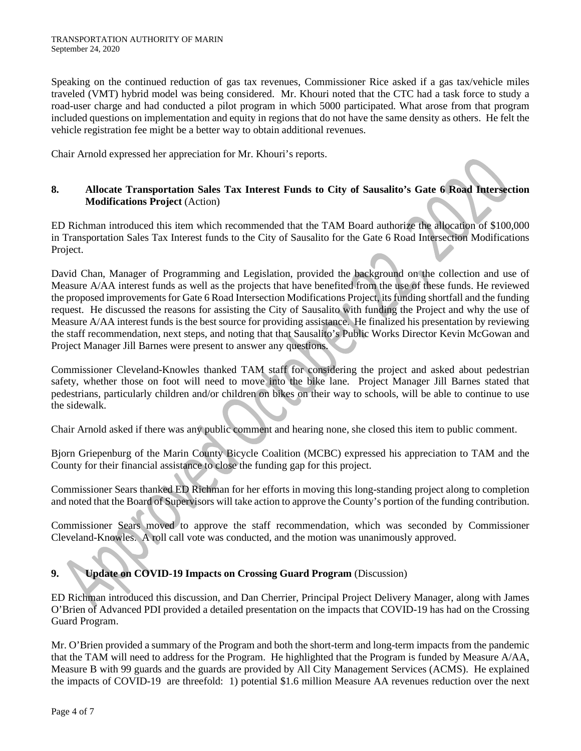Speaking on the continued reduction of gas tax revenues, Commissioner Rice asked if a gas tax/vehicle miles traveled (VMT) hybrid model was being considered. Mr. Khouri noted that the CTC had a task force to study a road-user charge and had conducted a pilot program in which 5000 participated. What arose from that program included questions on implementation and equity in regions that do not have the same density as others. He felt the vehicle registration fee might be a better way to obtain additional revenues.

Chair Arnold expressed her appreciation for Mr. Khouri's reports.

### **8. Allocate Transportation Sales Tax Interest Funds to City of Sausalito's Gate 6 Road Intersection Modifications Project** (Action)

ED Richman introduced this item which recommended that the TAM Board authorize the allocation of \$100,000 in Transportation Sales Tax Interest funds to the City of Sausalito for the Gate 6 Road Intersection Modifications Project.

David Chan, Manager of Programming and Legislation, provided the background on the collection and use of Measure A/AA interest funds as well as the projects that have benefited from the use of these funds. He reviewed the proposed improvements for Gate 6 Road Intersection Modifications Project, its funding shortfall and the funding request. He discussed the reasons for assisting the City of Sausalito with funding the Project and why the use of Measure A/AA interest funds is the best source for providing assistance. He finalized his presentation by reviewing the staff recommendation, next steps, and noting that that Sausalito's Public Works Director Kevin McGowan and Project Manager Jill Barnes were present to answer any questions.

Commissioner Cleveland-Knowles thanked TAM staff for considering the project and asked about pedestrian safety, whether those on foot will need to move into the bike lane. Project Manager Jill Barnes stated that pedestrians, particularly children and/or children on bikes on their way to schools, will be able to continue to use the sidewalk.

Chair Arnold asked if there was any public comment and hearing none, she closed this item to public comment.

Bjorn Griepenburg of the Marin County Bicycle Coalition (MCBC) expressed his appreciation to TAM and the County for their financial assistance to close the funding gap for this project.

Commissioner Sears thanked ED Richman for her efforts in moving this long-standing project along to completion and noted that the Board of Supervisors will take action to approve the County's portion of the funding contribution.

Commissioner Sears moved to approve the staff recommendation, which was seconded by Commissioner Cleveland-Knowles. A roll call vote was conducted, and the motion was unanimously approved.

# **9. Update on COVID-19 Impacts on Crossing Guard Program** (Discussion)

ED Richman introduced this discussion, and Dan Cherrier, Principal Project Delivery Manager, along with James O'Brien of Advanced PDI provided a detailed presentation on the impacts that COVID-19 has had on the Crossing Guard Program.

Mr. O'Brien provided a summary of the Program and both the short-term and long-term impacts from the pandemic that the TAM will need to address for the Program. He highlighted that the Program is funded by Measure A/AA, Measure B with 99 guards and the guards are provided by All City Management Services (ACMS). He explained the impacts of COVID-19 are threefold: 1) potential \$1.6 million Measure AA revenues reduction over the next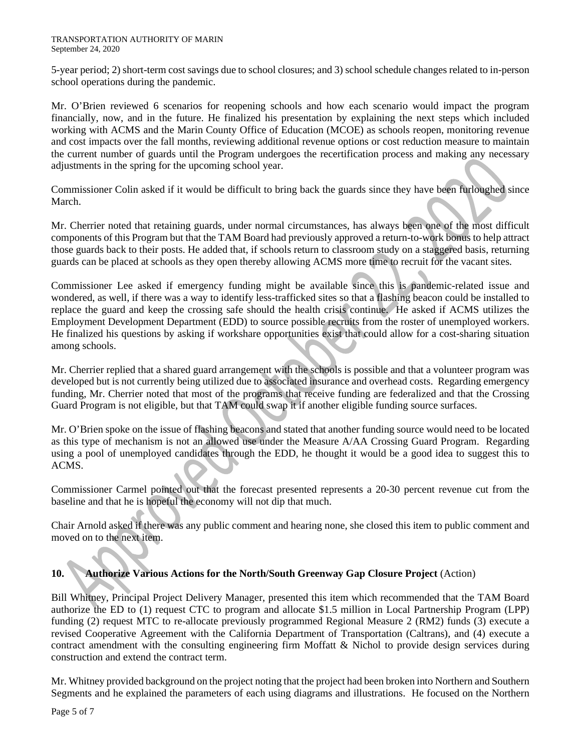5-year period; 2) short-term cost savings due to school closures; and 3) school schedule changes related to in-person school operations during the pandemic.

Mr. O'Brien reviewed 6 scenarios for reopening schools and how each scenario would impact the program financially, now, and in the future. He finalized his presentation by explaining the next steps which included working with ACMS and the Marin County Office of Education (MCOE) as schools reopen, monitoring revenue and cost impacts over the fall months, reviewing additional revenue options or cost reduction measure to maintain the current number of guards until the Program undergoes the recertification process and making any necessary adjustments in the spring for the upcoming school year.

Commissioner Colin asked if it would be difficult to bring back the guards since they have been furloughed since March.

Mr. Cherrier noted that retaining guards, under normal circumstances, has always been one of the most difficult components of this Program but that the TAM Board had previously approved a return-to-work bonus to help attract those guards back to their posts. He added that, if schools return to classroom study on a staggered basis, returning guards can be placed at schools as they open thereby allowing ACMS more time to recruit for the vacant sites.

Commissioner Lee asked if emergency funding might be available since this is pandemic-related issue and wondered, as well, if there was a way to identify less-trafficked sites so that a flashing beacon could be installed to replace the guard and keep the crossing safe should the health crisis continue. He asked if ACMS utilizes the Employment Development Department (EDD) to source possible recruits from the roster of unemployed workers. He finalized his questions by asking if workshare opportunities exist that could allow for a cost-sharing situation among schools.

Mr. Cherrier replied that a shared guard arrangement with the schools is possible and that a volunteer program was developed but is not currently being utilized due to associated insurance and overhead costs. Regarding emergency funding, Mr. Cherrier noted that most of the programs that receive funding are federalized and that the Crossing Guard Program is not eligible, but that TAM could swap it if another eligible funding source surfaces.

Mr. O'Brien spoke on the issue of flashing beacons and stated that another funding source would need to be located as this type of mechanism is not an allowed use under the Measure A/AA Crossing Guard Program. Regarding using a pool of unemployed candidates through the EDD, he thought it would be a good idea to suggest this to ACMS.

Commissioner Carmel pointed out that the forecast presented represents a 20-30 percent revenue cut from the baseline and that he is hopeful the economy will not dip that much.

Chair Arnold asked if there was any public comment and hearing none, she closed this item to public comment and moved on to the next item.

# **10. Authorize Various Actions for the North/South Greenway Gap Closure Project** (Action)

Bill Whitney, Principal Project Delivery Manager, presented this item which recommended that the TAM Board authorize the ED to (1) request CTC to program and allocate \$1.5 million in Local Partnership Program (LPP) funding (2) request MTC to re-allocate previously programmed Regional Measure 2 (RM2) funds (3) execute a revised Cooperative Agreement with the California Department of Transportation (Caltrans), and (4) execute a contract amendment with the consulting engineering firm Moffatt & Nichol to provide design services during construction and extend the contract term.

Mr. Whitney provided background on the project noting that the project had been broken into Northern and Southern Segments and he explained the parameters of each using diagrams and illustrations. He focused on the Northern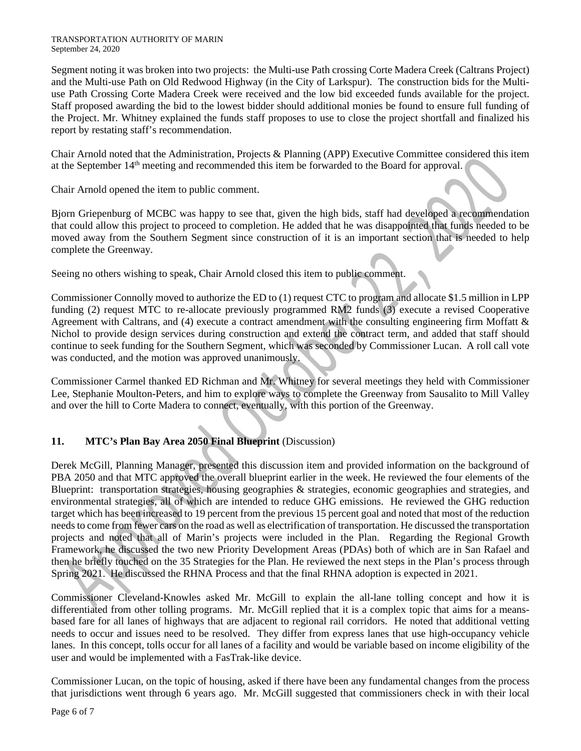#### TRANSPORTATION AUTHORITY OF MARIN September 24, 2020

Segment noting it was broken into two projects: the Multi-use Path crossing Corte Madera Creek (Caltrans Project) and the Multi-use Path on Old Redwood Highway (in the City of Larkspur). The construction bids for the Multiuse Path Crossing Corte Madera Creek were received and the low bid exceeded funds available for the project. Staff proposed awarding the bid to the lowest bidder should additional monies be found to ensure full funding of the Project. Mr. Whitney explained the funds staff proposes to use to close the project shortfall and finalized his report by restating staff's recommendation.

Chair Arnold noted that the Administration, Projects & Planning (APP) Executive Committee considered this item at the September 14th meeting and recommended this item be forwarded to the Board for approval.

Chair Arnold opened the item to public comment.

Bjorn Griepenburg of MCBC was happy to see that, given the high bids, staff had developed a recommendation that could allow this project to proceed to completion. He added that he was disappointed that funds needed to be moved away from the Southern Segment since construction of it is an important section that is needed to help complete the Greenway.

Seeing no others wishing to speak, Chair Arnold closed this item to public comment.

Commissioner Connolly moved to authorize the ED to (1) request CTC to program and allocate \$1.5 million in LPP funding (2) request MTC to re-allocate previously programmed RM2 funds (3) execute a revised Cooperative Agreement with Caltrans, and (4) execute a contract amendment with the consulting engineering firm Moffatt  $\&$ Nichol to provide design services during construction and extend the contract term, and added that staff should continue to seek funding for the Southern Segment, which was seconded by Commissioner Lucan. A roll call vote was conducted, and the motion was approved unanimously.

Commissioner Carmel thanked ED Richman and Mr. Whitney for several meetings they held with Commissioner Lee, Stephanie Moulton-Peters, and him to explore ways to complete the Greenway from Sausalito to Mill Valley and over the hill to Corte Madera to connect, eventually, with this portion of the Greenway.

# **11. MTC's Plan Bay Area 2050 Final Blueprint** (Discussion)

Derek McGill, Planning Manager, presented this discussion item and provided information on the background of PBA 2050 and that MTC approved the overall blueprint earlier in the week. He reviewed the four elements of the Blueprint: transportation strategies, housing geographies & strategies, economic geographies and strategies, and environmental strategies, all of which are intended to reduce GHG emissions. He reviewed the GHG reduction target which has been increased to 19 percent from the previous 15 percent goal and noted that most of the reduction needs to come from fewer cars on the road as well as electrification of transportation. He discussed the transportation projects and noted that all of Marin's projects were included in the Plan. Regarding the Regional Growth Framework, he discussed the two new Priority Development Areas (PDAs) both of which are in San Rafael and then he briefly touched on the 35 Strategies for the Plan. He reviewed the next steps in the Plan's process through Spring 2021. He discussed the RHNA Process and that the final RHNA adoption is expected in 2021.

Commissioner Cleveland-Knowles asked Mr. McGill to explain the all-lane tolling concept and how it is differentiated from other tolling programs. Mr. McGill replied that it is a complex topic that aims for a meansbased fare for all lanes of highways that are adjacent to regional rail corridors. He noted that additional vetting needs to occur and issues need to be resolved. They differ from express lanes that use high-occupancy vehicle lanes. In this concept, tolls occur for all lanes of a facility and would be variable based on income eligibility of the user and would be implemented with a FasTrak-like device.

Commissioner Lucan, on the topic of housing, asked if there have been any fundamental changes from the process that jurisdictions went through 6 years ago. Mr. McGill suggested that commissioners check in with their local